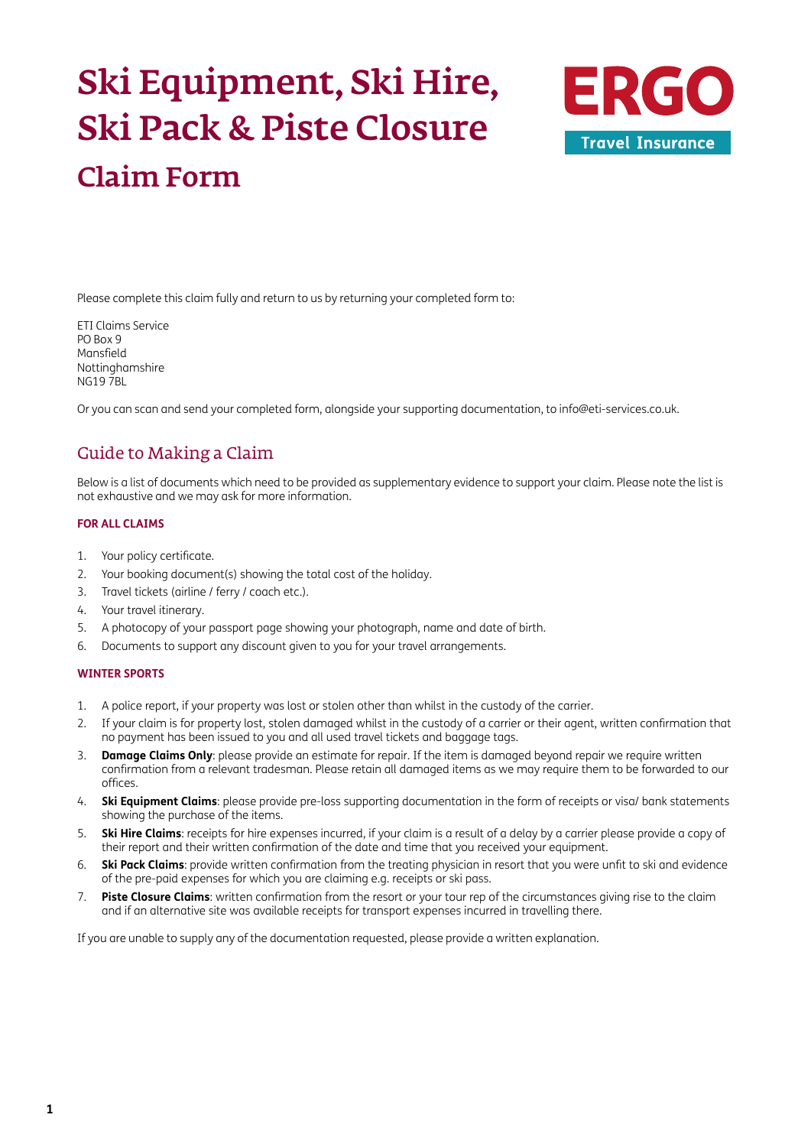# Ski Equipment, Ski Hire, Ski Pack & Piste Closure Claim Form



Please complete this claim fully and return to us by returning your completed form to:

ETI Claims Service PO Box 9 Mansfield Nottinghamshire NG19 7BL

Or you can scan and send your completed form, alongside your supporting documentation, to [info@eti-services.co.uk.](mailto:info%40eti-services.co.uk?subject=)

### Guide to Making a Claim

Below is a list of documents which need to be provided as supplementary evidence to support your claim. Please note the list is not exhaustive and we may ask for more information.

### **FOR ALL CLAIMS**

- 1. Your policy certificate.
- 2. Your booking document(s) showing the total cost of the holiday.
- 3. Travel tickets (airline / ferry / coach etc.).
- 4. Your travel itinerary.
- 5. A photocopy of your passport page showing your photograph, name and date of birth.
- 6. Documents to support any discount given to you for your travel arrangements.

### **WINTER SPORTS**

- 1. A police report, if your property was lost or stolen other than whilst in the custody of the carrier.
- 2. If your claim is for property lost, stolen damaged whilst in the custody of a carrier or their agent, written confirmation that no payment has been issued to you and all used travel tickets and baggage tags.
- 3. **Damage Claims Only**: please provide an estimate for repair. If the item is damaged beyond repair we require written confirmation from a relevant tradesman. Please retain all damaged items as we may require them to be forwarded to our offices.
- 4. **Ski Equipment Claims**: please provide pre-loss supporting documentation in the form of receipts or visa/ bank statements showing the purchase of the items.
- 5. **Ski Hire Claims**: receipts for hire expenses incurred, if your claim is a result of a delay by a carrier please provide a copy of their report and their written confirmation of the date and time that you received your equipment.
- 6. **Ski Pack Claims**: provide written confirmation from the treating physician in resort that you were unfit to ski and evidence of the pre-paid expenses for which you are claiming e.g. receipts or ski pass.
- 7. **Piste Closure Claims**: written confirmation from the resort or your tour rep of the circumstances giving rise to the claim and if an alternative site was available receipts for transport expenses incurred in travelling there.

If you are unable to supply any of the documentation requested, please provide a written explanation.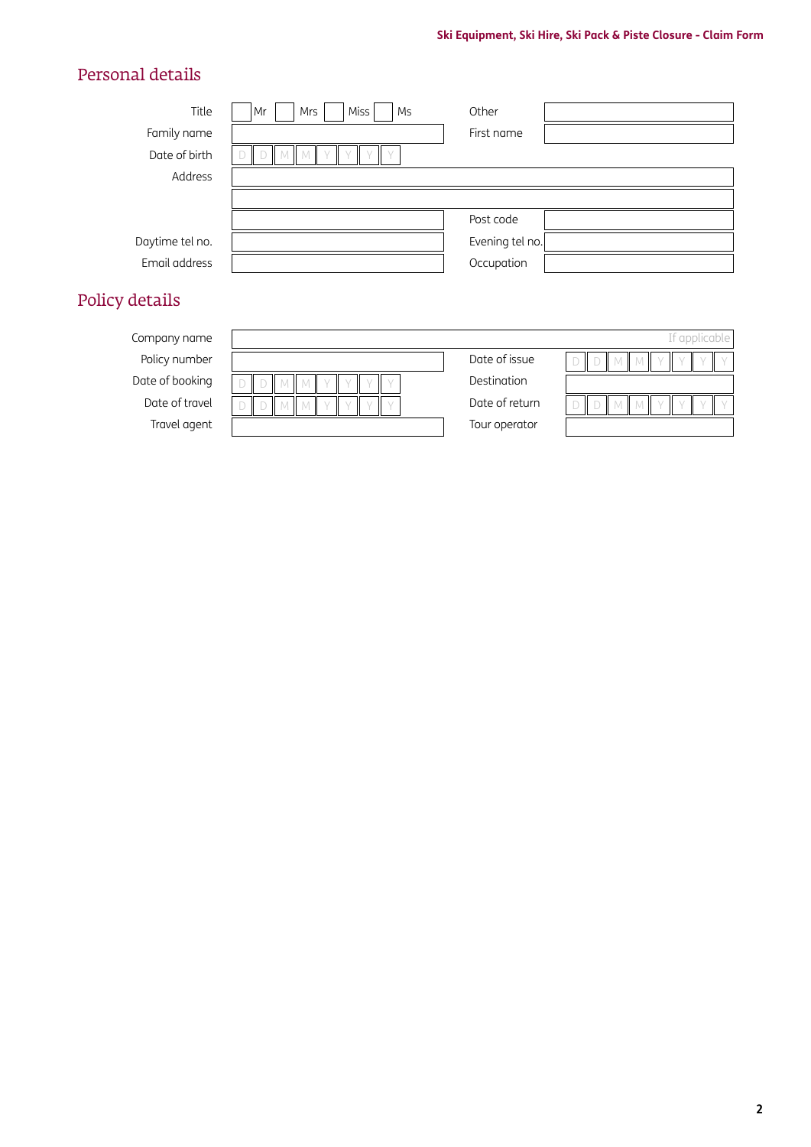### Personal details

| Title           | Miss<br>Mr<br>Mrs<br>Ms | Other           |  |
|-----------------|-------------------------|-----------------|--|
| Family name     |                         | First name      |  |
| Date of birth   |                         |                 |  |
| Address         |                         |                 |  |
|                 |                         |                 |  |
|                 |                         | Post code       |  |
| Daytime tel no. |                         | Evening tel no. |  |
| Email address   |                         | Occupation      |  |
| Policy details  |                         |                 |  |

# Policy nur Date of bod Date of th Travel a

| Company name    |              |                | If applicable l |
|-----------------|--------------|----------------|-----------------|
| Policy number   |              | Date of issue  |                 |
| Date of booking | $\mathbb{L}$ | Destination    |                 |
| Date of travel  | Ш            | Date of return |                 |
| Travel agent    |              | Tour operator  |                 |
|                 |              |                |                 |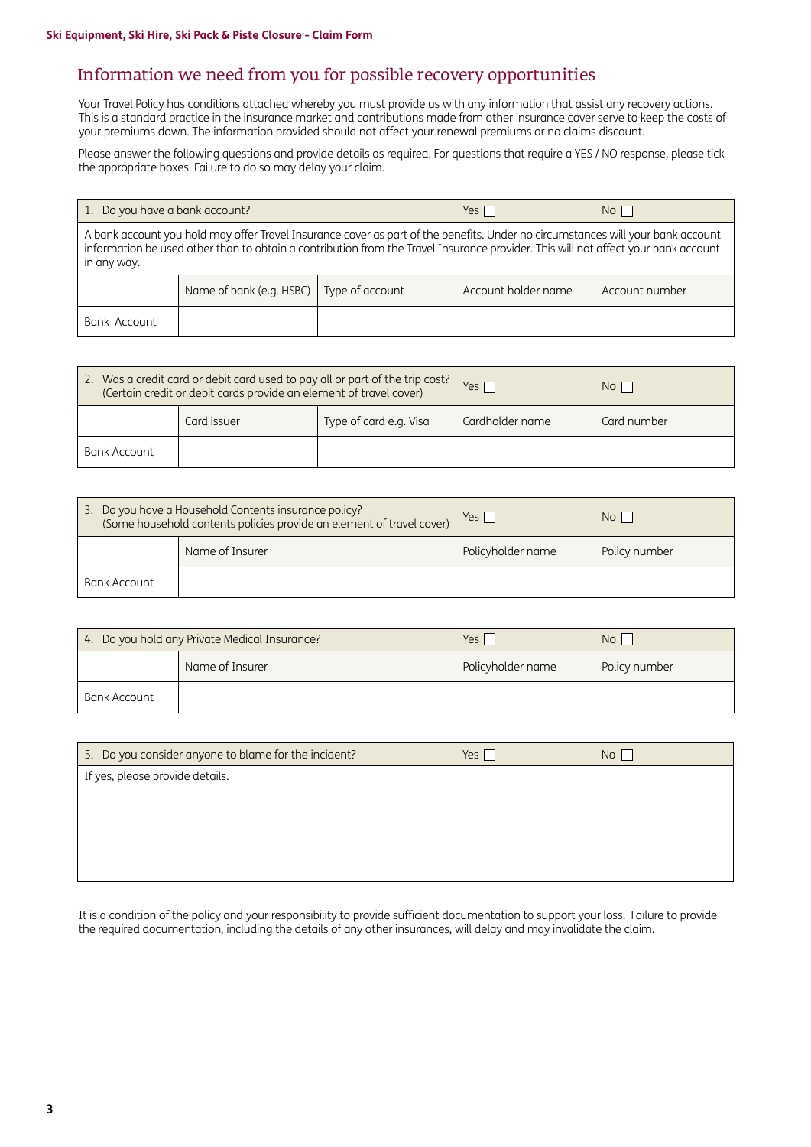### Information we need from you for possible recovery opportunities

Your Travel Policy has conditions attached whereby you must provide us with any information that assist any recovery actions. This is a standard practice in the insurance market and contributions made from other insurance cover serve to keep the costs of your premiums down. The information provided should not affect your renewal premiums or no claims discount.

Please answer the following questions and provide details as required. For questions that require a YES / NO response, please tick the appropriate boxes. Failure to do so may delay your claim.

| 1. Do you have a bank account?                                                                                                                                                                                                                                                       |                          | Yes I           | No <sub>1</sub>     |                |  |  |
|--------------------------------------------------------------------------------------------------------------------------------------------------------------------------------------------------------------------------------------------------------------------------------------|--------------------------|-----------------|---------------------|----------------|--|--|
| A bank account you hold may offer Travel Insurance cover as part of the benefits. Under no circumstances will your bank account<br>information be used other than to obtain a contribution from the Travel Insurance provider. This will not affect your bank account<br>in any way. |                          |                 |                     |                |  |  |
|                                                                                                                                                                                                                                                                                      | Name of bank (e.g. HSBC) | Type of account | Account holder name | Account number |  |  |
| Bank Account                                                                                                                                                                                                                                                                         |                          |                 |                     |                |  |  |

| 2. Was a credit card or debit card used to pay all or part of the trip cost?<br>(Certain credit or debit cards provide an element of travel cover) |             |                        | Yes I           | No <sub>1</sub> |
|----------------------------------------------------------------------------------------------------------------------------------------------------|-------------|------------------------|-----------------|-----------------|
|                                                                                                                                                    | Card issuer | Type of card e.g. Visa | Cardholder name | Card number     |
| Bank Account                                                                                                                                       |             |                        |                 |                 |

| 3. Do you have a Household Contents insurance policy?<br>(Some household contents policies provide an element of travel cover) |  | $Yes \mid$        | No <sub>1</sub> |
|--------------------------------------------------------------------------------------------------------------------------------|--|-------------------|-----------------|
| Name of Insurer                                                                                                                |  | Policyholder name | Policy number   |
| Bank Account                                                                                                                   |  |                   |                 |

| 4. Do you hold any Private Medical Insurance? |                 | Yes i             | No <sub>1</sub> |
|-----------------------------------------------|-----------------|-------------------|-----------------|
|                                               | Name of Insurer | Policyholder name | Policy number   |
| Bank Account                                  |                 |                   |                 |

| 5. Do you consider anyone to blame for the incident? | Yes [ | No <sub>1</sub> |
|------------------------------------------------------|-------|-----------------|
| If yes, please provide details.                      |       |                 |
|                                                      |       |                 |
|                                                      |       |                 |
|                                                      |       |                 |
|                                                      |       |                 |

It is a condition of the policy and your responsibility to provide sufficient documentation to support your loss. Failure to provide the required documentation, including the details of any other insurances, will delay and may invalidate the claim.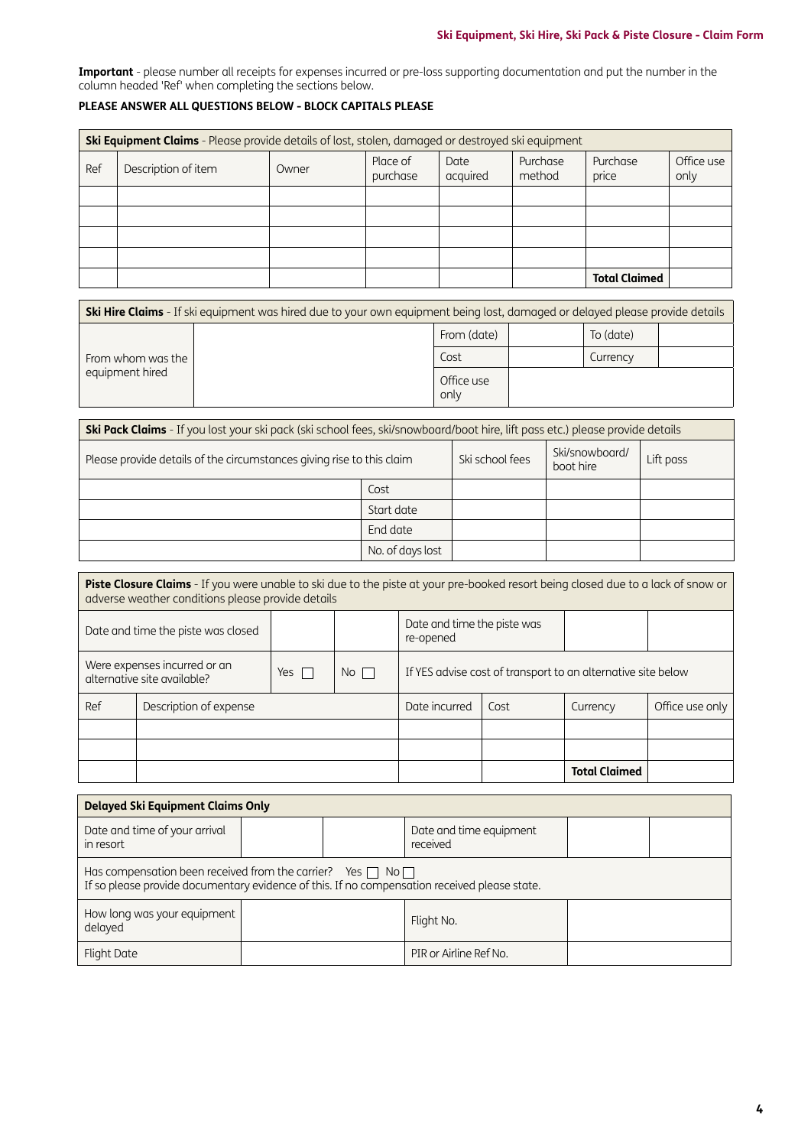**Important** - please number all receipts for expenses incurred or pre-loss supporting documentation and put the number in the column headed 'Ref' when completing the sections below.

### **PLEASE ANSWER ALL QUESTIONS BELOW - BLOCK CAPITALS PLEASE**

|     | <b>Ski Equipment Claims</b> - Please provide details of lost, stolen, damaged or destroyed ski equipment |       |                      |                  |                    |                      |                    |  |
|-----|----------------------------------------------------------------------------------------------------------|-------|----------------------|------------------|--------------------|----------------------|--------------------|--|
| Ref | Description of item                                                                                      | Owner | Place of<br>purchase | Date<br>acquired | Purchase<br>method | Purchase<br>price    | Office use<br>only |  |
|     |                                                                                                          |       |                      |                  |                    |                      |                    |  |
|     |                                                                                                          |       |                      |                  |                    |                      |                    |  |
|     |                                                                                                          |       |                      |                  |                    |                      |                    |  |
|     |                                                                                                          |       |                      |                  |                    |                      |                    |  |
|     |                                                                                                          |       |                      |                  |                    | <b>Total Claimed</b> |                    |  |

| <b>Ski Hire Claims</b> - If ski equipment was hired due to your own equipment being lost, damaged or delayed please provide details |  |                    |  |           |  |  |
|-------------------------------------------------------------------------------------------------------------------------------------|--|--------------------|--|-----------|--|--|
| From whom was the<br>equipment hired                                                                                                |  | From (date)        |  | To (date) |  |  |
|                                                                                                                                     |  | Cost               |  | Currency  |  |  |
|                                                                                                                                     |  | Office use<br>only |  |           |  |  |

| <b>Ski Pack Claims</b> - If you lost your ski pack (ski school fees, ski/snowboard/boot hire, lift pass etc.) please provide details |                  |                 |                             |           |  |  |
|--------------------------------------------------------------------------------------------------------------------------------------|------------------|-----------------|-----------------------------|-----------|--|--|
| Please provide details of the circumstances giving rise to this claim                                                                |                  | Ski school fees | Ski/snowboard/<br>boot hire | Lift pass |  |  |
|                                                                                                                                      | Cost             |                 |                             |           |  |  |
|                                                                                                                                      | Start date       |                 |                             |           |  |  |
|                                                                                                                                      | End date         |                 |                             |           |  |  |
|                                                                                                                                      | No. of days lost |                 |                             |           |  |  |

| <b>Piste Closure Claims</b> - If you were unable to ski due to the piste at your pre-booked resort being closed due to a lack of snow or<br>adverse weather conditions please provide details |                                                             |       |             |                                                              |      |                      |                 |
|-----------------------------------------------------------------------------------------------------------------------------------------------------------------------------------------------|-------------------------------------------------------------|-------|-------------|--------------------------------------------------------------|------|----------------------|-----------------|
| Date and time the piste was<br>Date and time the piste was closed<br>re-opened                                                                                                                |                                                             |       |             |                                                              |      |                      |                 |
|                                                                                                                                                                                               | Were expenses incurred or an<br>alternative site available? | Yes T | $No$ $\Box$ | If YES advise cost of transport to an alternative site below |      |                      |                 |
| Ref                                                                                                                                                                                           | Description of expense                                      |       |             | Date incurred                                                | Cost | Currency             | Office use only |
|                                                                                                                                                                                               |                                                             |       |             |                                                              |      |                      |                 |
|                                                                                                                                                                                               |                                                             |       |             |                                                              |      |                      |                 |
|                                                                                                                                                                                               |                                                             |       |             |                                                              |      | <b>Total Claimed</b> |                 |

| <b>Delayed Ski Equipment Claims Only</b>                                                                                                                              |  |  |                                     |  |  |  |  |
|-----------------------------------------------------------------------------------------------------------------------------------------------------------------------|--|--|-------------------------------------|--|--|--|--|
| Date and time of your arrival<br>in resort                                                                                                                            |  |  | Date and time equipment<br>received |  |  |  |  |
| Has compensation been received from the carrier? Yes $\Box$ No $\Box$<br>If so please provide documentary evidence of this. If no compensation received please state. |  |  |                                     |  |  |  |  |
| How long was your equipment<br>Flight No.<br>delayed                                                                                                                  |  |  |                                     |  |  |  |  |
| Flight Date                                                                                                                                                           |  |  | PIR or Airline Ref No.              |  |  |  |  |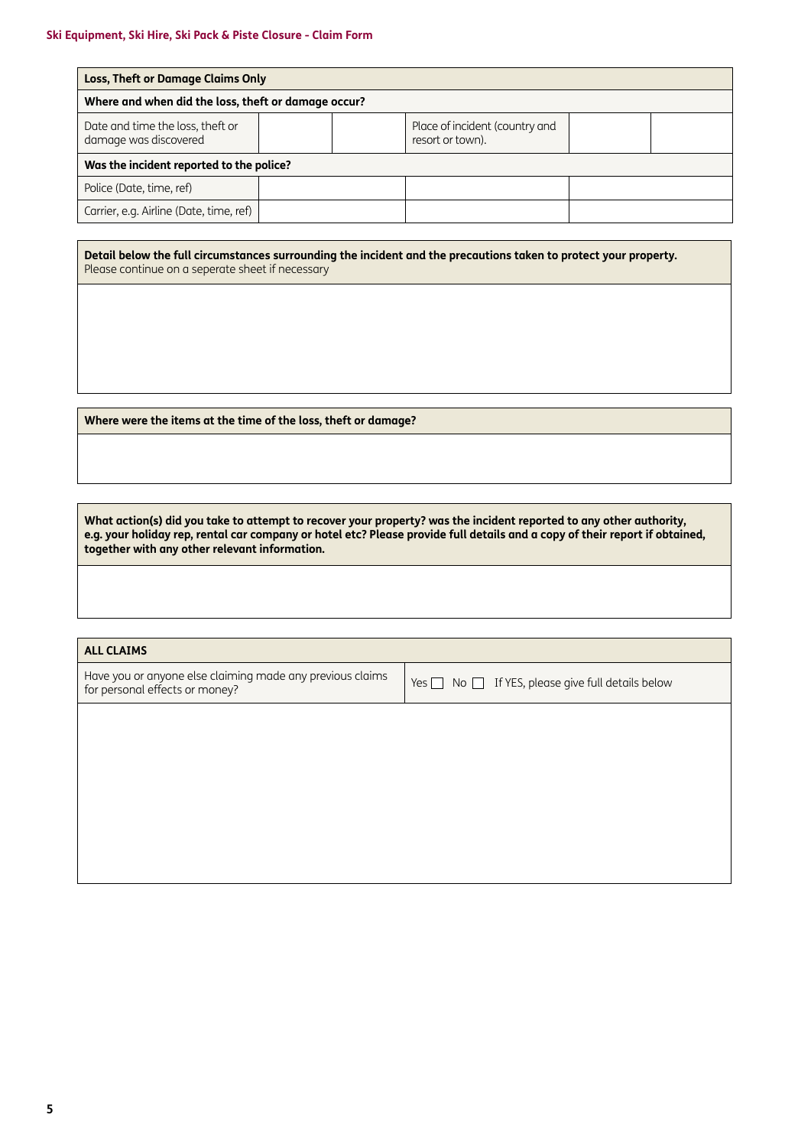| <b>Loss, Theft or Damage Claims Only</b>                  |  |  |                                                    |  |  |  |
|-----------------------------------------------------------|--|--|----------------------------------------------------|--|--|--|
| Where and when did the loss, theft or damage occur?       |  |  |                                                    |  |  |  |
| Date and time the loss, theft or<br>damage was discovered |  |  | Place of incident (country and<br>resort or town). |  |  |  |
| Was the incident reported to the police?                  |  |  |                                                    |  |  |  |
| Police (Date, time, ref)                                  |  |  |                                                    |  |  |  |
| Carrier, e.g. Airline (Date, time, ref)                   |  |  |                                                    |  |  |  |

**Detail below the full circumstances surrounding the incident and the precautions taken to protect your property.** Please continue on a seperate sheet if necessary

**Where were the items at the time of the loss, theft or damage?**

**What action(s) did you take to attempt to recover your property? was the incident reported to any other authority, e.g. your holiday rep, rental car company or hotel etc? Please provide full details and a copy of their report if obtained, together with any other relevant information.**

### **ALL CLAIMS**

Have you or anyone else claiming made any previous claims Have you or anyone else claiming made any previous claims  $\bigcup$  Yes  $\Box$  No  $\Box$  If YES, please give full details below for personal effects or money?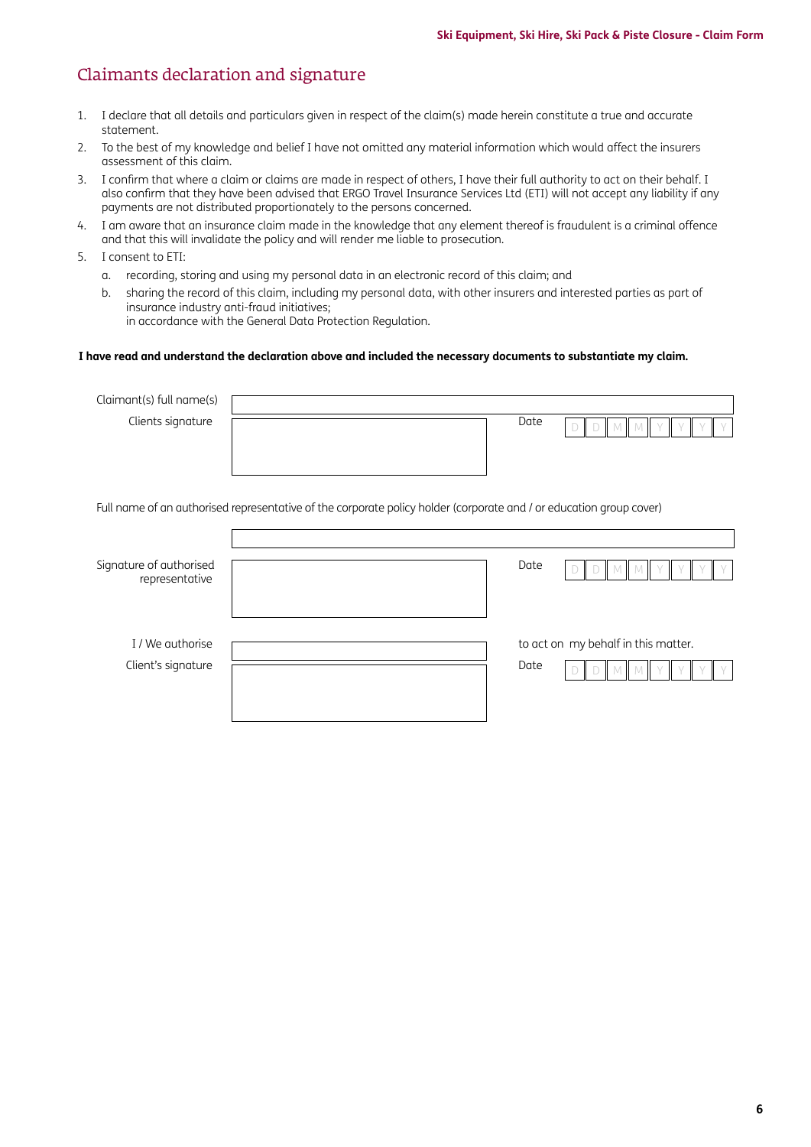### Claimants declaration and signature

- 1. I declare that all details and particulars given in respect of the claim(s) made herein constitute a true and accurate statement.
- 2. To the best of my knowledge and belief I have not omitted any material information which would affect the insurers assessment of this claim.
- 3. I confirm that where a claim or claims are made in respect of others, I have their full authority to act on their behalf. I also confirm that they have been advised that ERGO Travel Insurance Services Ltd (ETI) will not accept any liability if any payments are not distributed proportionately to the persons concerned.
- 4. I am aware that an insurance claim made in the knowledge that any element thereof is fraudulent is a criminal offence and that this will invalidate the policy and will render me liable to prosecution.
- 5. I consent to ETI:
	- a. recording, storing and using my personal data in an electronic record of this claim; and
	- b. sharing the record of this claim, including my personal data, with other insurers and interested parties as part of insurance industry anti-fraud initiatives; in accordance with the General Data Protection Regulation.

#### **I have read and understand the declaration above and included the necessary documents to substantiate my claim.**

| Claimant(s) full name(s)                  |                                                                                                                     |      |                                     |
|-------------------------------------------|---------------------------------------------------------------------------------------------------------------------|------|-------------------------------------|
| Clients signature                         |                                                                                                                     | Date | D                                   |
|                                           |                                                                                                                     |      |                                     |
|                                           |                                                                                                                     |      |                                     |
|                                           | Full name of an authorised representative of the corporate policy holder (corporate and / or education group cover) |      |                                     |
|                                           |                                                                                                                     |      |                                     |
| Signature of authorised<br>representative |                                                                                                                     | Date | Ð<br>М                              |
| I / We authorise<br>Client's signature    |                                                                                                                     | Date | to act on my behalf in this matter. |
|                                           |                                                                                                                     |      |                                     |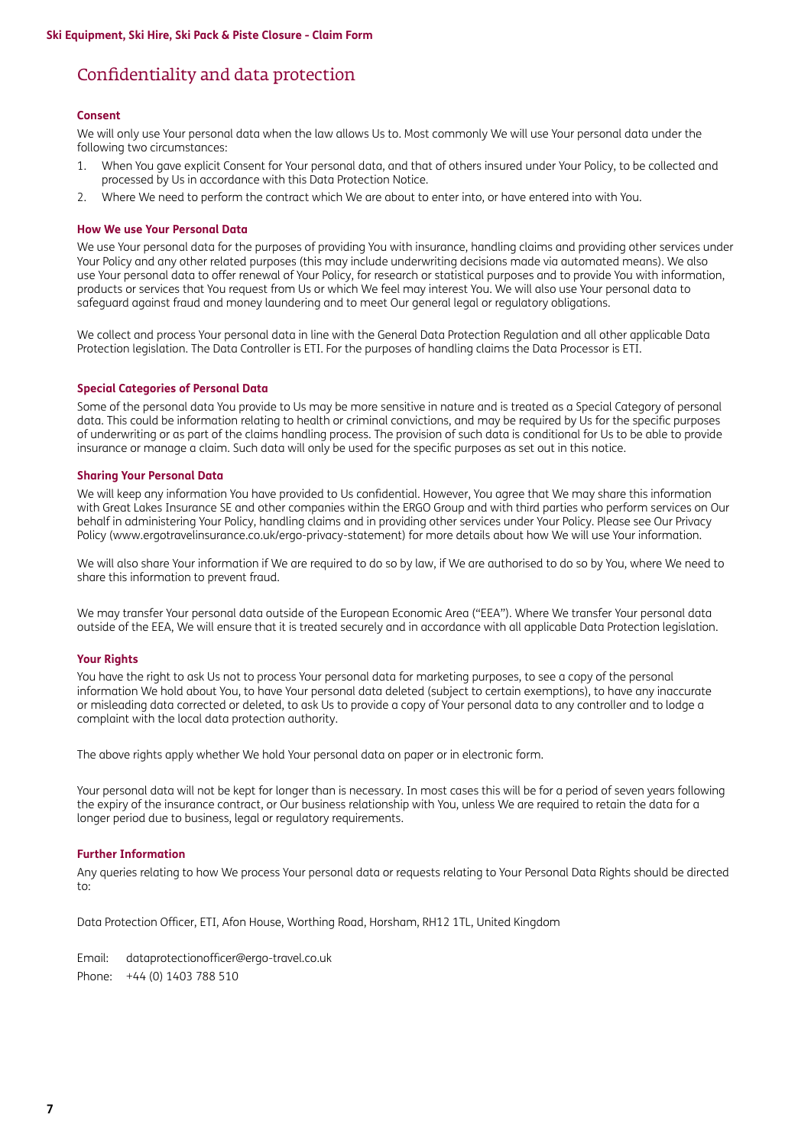### Confidentiality and data protection

#### **Consent**

We will only use Your personal data when the law allows Us to. Most commonly We will use Your personal data under the following two circumstances:

- 1. When You gave explicit Consent for Your personal data, and that of others insured under Your Policy, to be collected and processed by Us in accordance with this Data Protection Notice.
- 2. Where We need to perform the contract which We are about to enter into, or have entered into with You.

#### **How We use Your Personal Data**

We use Your personal data for the purposes of providing You with insurance, handling claims and providing other services under Your Policy and any other related purposes (this may include underwriting decisions made via automated means). We also use Your personal data to offer renewal of Your Policy, for research or statistical purposes and to provide You with information, products or services that You request from Us or which We feel may interest You. We will also use Your personal data to safeguard against fraud and money laundering and to meet Our general legal or regulatory obligations.

We collect and process Your personal data in line with the General Data Protection Regulation and all other applicable Data Protection legislation. The Data Controller is ETI. For the purposes of handling claims the Data Processor is ETI.

#### **Special Categories of Personal Data**

Some of the personal data You provide to Us may be more sensitive in nature and is treated as a Special Category of personal data. This could be information relating to health or criminal convictions, and may be required by Us for the specific purposes of underwriting or as part of the claims handling process. The provision of such data is conditional for Us to be able to provide insurance or manage a claim. Such data will only be used for the specific purposes as set out in this notice.

#### **Sharing Your Personal Data**

We will keep any information You have provided to Us confidential. However, You agree that We may share this information with Great Lakes Insurance SE and other companies within the ERGO Group and with third parties who perform services on Our behalf in administering Your Policy, handling claims and in providing other services under Your Policy. Please see Our Privacy Policy [\(www.ergotravelinsurance.co.uk/ergo-privacy-statement](http://www.ergotravelinsurance.co.uk/ergo-privacy-statement)) for more details about how We will use Your information.

We will also share Your information if We are required to do so by law, if We are authorised to do so by You, where We need to share this information to prevent fraud.

We may transfer Your personal data outside of the European Economic Area ("EEA"). Where We transfer Your personal data outside of the EEA, We will ensure that it is treated securely and in accordance with all applicable Data Protection legislation.

#### **Your Rights**

You have the right to ask Us not to process Your personal data for marketing purposes, to see a copy of the personal information We hold about You, to have Your personal data deleted (subject to certain exemptions), to have any inaccurate or misleading data corrected or deleted, to ask Us to provide a copy of Your personal data to any controller and to lodge a complaint with the local data protection authority.

The above rights apply whether We hold Your personal data on paper or in electronic form.

Your personal data will not be kept for longer than is necessary. In most cases this will be for a period of seven years following the expiry of the insurance contract, or Our business relationship with You, unless We are required to retain the data for a longer period due to business, legal or regulatory requirements.

#### **Further Information**

Any queries relating to how We process Your personal data or requests relating to Your Personal Data Rights should be directed to:

Data Protection Officer, ETI, Afon House, Worthing Road, Horsham, RH12 1TL, United Kingdom

Email: [dataprotectionofficer@ergo-travel.co.uk](mailto:dataprotectionofficer%40ergo-travel.co.uk?subject=) Phone: +44 (0) 1403 788 510